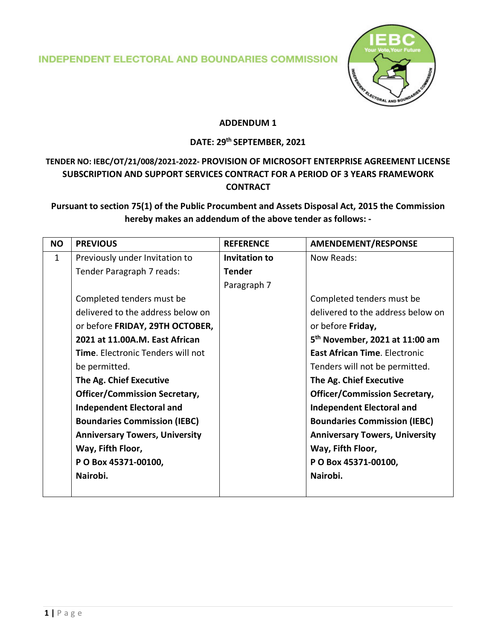**INDEPENDENT ELECTORAL AND BOUNDARIES COMMISSION** 



#### **ADDENDUM 1**

# **DATE: 29th SEPTEMBER, 2021**

## **TENDER NO: IEBC/OT/21/008/2021-2022- PROVISION OF MICROSOFT ENTERPRISE AGREEMENT LICENSE SUBSCRIPTION AND SUPPORT SERVICES CONTRACT FOR A PERIOD OF 3 YEARS FRAMEWORK CONTRACT**

### **Pursuant to section 75(1) of the Public Procumbent and Assets Disposal Act, 2015 the Commission hereby makes an addendum of the above tender as follows: -**

| <b>NO</b>    | <b>PREVIOUS</b>                          | <b>REFERENCE</b> | AMENDEMENT/RESPONSE                        |
|--------------|------------------------------------------|------------------|--------------------------------------------|
| $\mathbf{1}$ | Previously under Invitation to           | Invitation to    | Now Reads:                                 |
|              | Tender Paragraph 7 reads:                | <b>Tender</b>    |                                            |
|              |                                          | Paragraph 7      |                                            |
|              | Completed tenders must be                |                  | Completed tenders must be                  |
|              | delivered to the address below on        |                  | delivered to the address below on          |
|              | or before FRIDAY, 29TH OCTOBER,          |                  | or before Friday,                          |
|              | 2021 at 11.00A.M. East African           |                  | 5 <sup>th</sup> November, 2021 at 11:00 am |
|              | <b>Time.</b> Electronic Tenders will not |                  | <b>East African Time. Electronic</b>       |
|              | be permitted.                            |                  | Tenders will not be permitted.             |
|              | The Ag. Chief Executive                  |                  | The Ag. Chief Executive                    |
|              | <b>Officer/Commission Secretary,</b>     |                  | <b>Officer/Commission Secretary,</b>       |
|              | <b>Independent Electoral and</b>         |                  | <b>Independent Electoral and</b>           |
|              | <b>Boundaries Commission (IEBC)</b>      |                  | <b>Boundaries Commission (IEBC)</b>        |
|              | <b>Anniversary Towers, University</b>    |                  | <b>Anniversary Towers, University</b>      |
|              | Way, Fifth Floor,                        |                  | Way, Fifth Floor,                          |
|              | P O Box 45371-00100,                     |                  | P O Box 45371-00100,                       |
|              | Nairobi.                                 |                  | Nairobi.                                   |
|              |                                          |                  |                                            |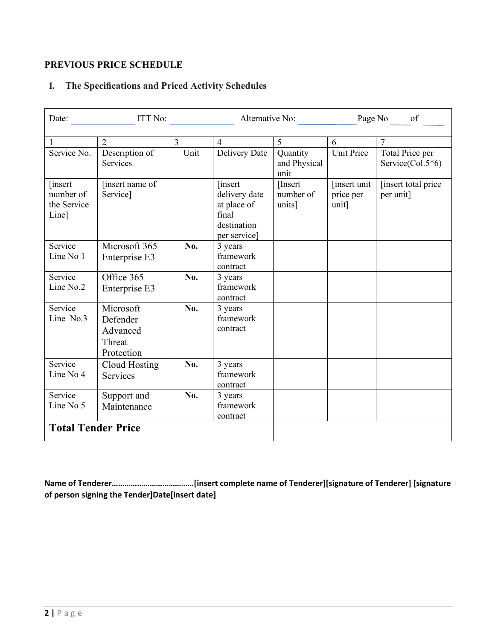### **PREVIOUS PRICE SCHEDULE**

### **1. The Specifications and Priced Activity Schedules**

| Date:                                                | ITT No:                                                   |                | Alternative No:                                                                  |                                  | Page No of                          |                                     |
|------------------------------------------------------|-----------------------------------------------------------|----------------|----------------------------------------------------------------------------------|----------------------------------|-------------------------------------|-------------------------------------|
|                                                      |                                                           |                |                                                                                  |                                  |                                     |                                     |
| 1                                                    | $\overline{2}$                                            | $\overline{3}$ | $\overline{4}$                                                                   | 5                                | 6                                   | 7                                   |
| Service No.                                          | Description of<br><b>Services</b>                         | Unit           | Delivery Date                                                                    | Quantity<br>and Physical<br>unit | <b>Unit Price</b>                   | Total Price per<br>Service(Col.5*6) |
| <i>s</i> insert<br>number of<br>the Service<br>Line] | [insert name of<br>Service]                               |                | [insert]<br>delivery date<br>at place of<br>final<br>destination<br>per service] | [Insert]<br>number of<br>units]  | [insert unit]<br>price per<br>unit] | [insert total price]<br>per unit]   |
| Service<br>Line No 1                                 | Microsoft 365<br>Enterprise E3                            | No.            | 3 years<br>framework<br>contract                                                 |                                  |                                     |                                     |
| Service<br>Line No.2                                 | Office 365<br>Enterprise E3                               | No.            | 3 years<br>framework<br>contract                                                 |                                  |                                     |                                     |
| Service<br>Line No.3                                 | Microsoft<br>Defender<br>Advanced<br>Threat<br>Protection | No.            | 3 years<br>framework<br>contract                                                 |                                  |                                     |                                     |
| Service<br>Line No 4                                 | <b>Cloud Hosting</b><br><b>Services</b>                   | No.            | 3 years<br>framework<br>contract                                                 |                                  |                                     |                                     |
| Service<br>Line No 5                                 | Support and<br>Maintenance                                | No.            | 3 years<br>framework<br>contract                                                 |                                  |                                     |                                     |
| <b>Total Tender Price</b>                            |                                                           |                |                                                                                  |                                  |                                     |                                     |

**Name of Tenderer…………………………………[insert complete name of Tenderer][signature of Tenderer] [signature of person signing the Tender]Date[insert date]**